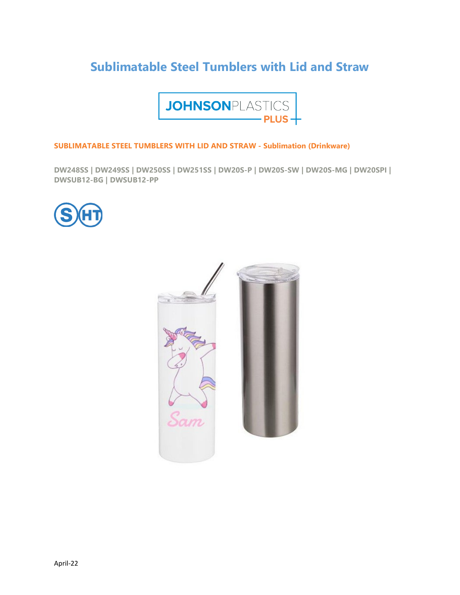# **Sublimatable Steel Tumblers with Lid and Straw**



### **SUBLIMATABLE STEEL TUMBLERS WITH LID AND STRAW - Sublimation (Drinkware)**

**DW248SS | DW249SS | DW250SS | DW251SS | DW20S-P | DW20S-SW | DW20S-MG | DW20SPI | DWSUB12-BG | DWSUB12-PP** 



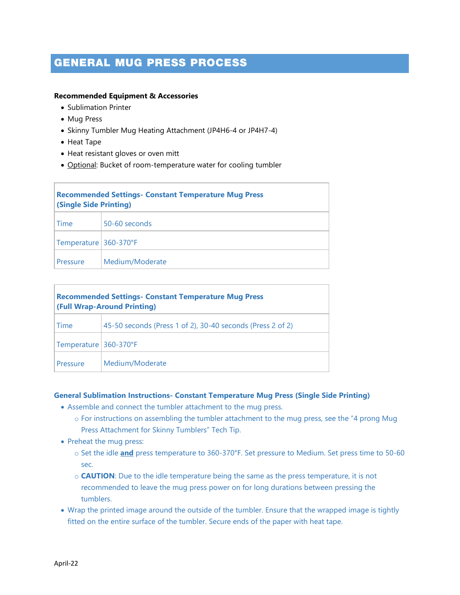## GENERAL MUG PRESS PROCESS

### **Recommended Equipment & Accessories**

- Sublimation Printer
- Mug Press
- Skinny Tumbler Mug Heating Attachment (JP4H6-4 or JP4H7-4)
- Heat Tape
- Heat resistant gloves or oven mitt
- Optional: Bucket of room-temperature water for cooling tumbler

| <b>Recommended Settings- Constant Temperature Mug Press</b><br><b>(Single Side Printing)</b> |                 |  |
|----------------------------------------------------------------------------------------------|-----------------|--|
| Time                                                                                         | 50-60 seconds   |  |
| Temperature 360-370°F                                                                        |                 |  |
| Pressure                                                                                     | Medium/Moderate |  |

| <b>Recommended Settings- Constant Temperature Mug Press</b><br><b>(Full Wrap-Around Printing)</b> |                                                            |  |
|---------------------------------------------------------------------------------------------------|------------------------------------------------------------|--|
| Time                                                                                              | 45-50 seconds (Press 1 of 2), 30-40 seconds (Press 2 of 2) |  |
| Temperature 360-370°F                                                                             |                                                            |  |
| Pressure                                                                                          | Medium/Moderate                                            |  |

### **General Sublimation Instructions- Constant Temperature Mug Press (Single Side Printing)**

- Assemble and connect the tumbler attachment to the mug press.
	- $\circ$  For instructions on assembling the tumbler attachment to the mug press, see the "4 prong Mug Press Attachment for Skinny Tumblers" Tech Tip.
- Preheat the mug press:
	- o Set the idle **and** press temperature to 360-370°F. Set pressure to Medium. Set press time to 50-60 sec.
	- o **CAUTION**: Due to the idle temperature being the same as the press temperature, it is not recommended to leave the mug press power on for long durations between pressing the tumblers.
- Wrap the printed image around the outside of the tumbler. Ensure that the wrapped image is tightly fitted on the entire surface of the tumbler. Secure ends of the paper with heat tape.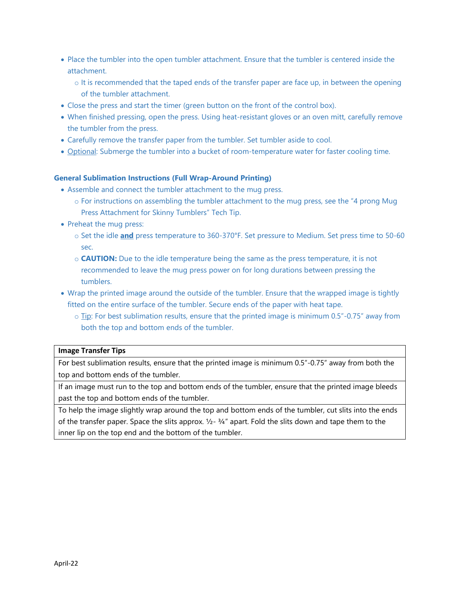- Place the tumbler into the open tumbler attachment. Ensure that the tumbler is centered inside the attachment.
	- o It is recommended that the taped ends of the transfer paper are face up, in between the opening of the tumbler attachment.
- Close the press and start the timer (green button on the front of the control box).
- When finished pressing, open the press. Using heat-resistant gloves or an oven mitt, carefully remove the tumbler from the press.
- Carefully remove the transfer paper from the tumbler. Set tumbler aside to cool.
- Optional: Submerge the tumbler into a bucket of room-temperature water for faster cooling time.

### **General Sublimation Instructions (Full Wrap-Around Printing)**

- Assemble and connect the tumbler attachment to the mug press.
	- o For instructions on assembling the tumbler attachment to the mug press, see the "4 prong Mug Press Attachment for Skinny Tumblers" Tech Tip.
- Preheat the mug press:
	- o Set the idle **and** press temperature to 360-370°F. Set pressure to Medium. Set press time to 50-60 sec.
	- o **CAUTION:** Due to the idle temperature being the same as the press temperature, it is not recommended to leave the mug press power on for long durations between pressing the tumblers.
- Wrap the printed image around the outside of the tumbler. Ensure that the wrapped image is tightly fitted on the entire surface of the tumbler. Secure ends of the paper with heat tape.
	- $\circ$  Tip: For best sublimation results, ensure that the printed image is minimum 0.5"-0.75" away from both the top and bottom ends of the tumbler.

### **Image Transfer Tips**

For best sublimation results, ensure that the printed image is minimum 0.5"-0.75" away from both the top and bottom ends of the tumbler.

If an image must run to the top and bottom ends of the tumbler, ensure that the printed image bleeds past the top and bottom ends of the tumbler.

To help the image slightly wrap around the top and bottom ends of the tumbler, cut slits into the ends of the transfer paper. Space the slits approx.  $\frac{1}{2}$ -  $\frac{3}{4}$ " apart. Fold the slits down and tape them to the inner lip on the top end and the bottom of the tumbler.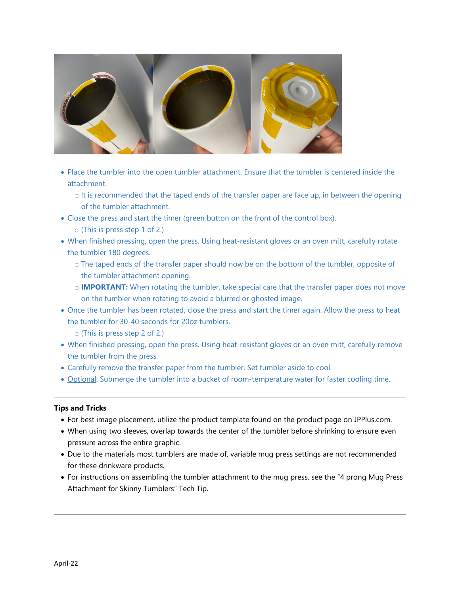

- Place the tumbler into the open tumbler attachment. Ensure that the tumbler is centered inside the attachment.
	- $\circ$  It is recommended that the taped ends of the transfer paper are face up, in between the opening of the tumbler attachment.
- Close the press and start the timer (green button on the front of the control box).
	- o (This is press step 1 of 2.)
- When finished pressing, open the press. Using heat-resistant gloves or an oven mitt, carefully rotate the tumbler 180 degrees.
	- o The taped ends of the transfer paper should now be on the bottom of the tumbler, opposite of the tumbler attachment opening.
	- o **IMPORTANT:** When rotating the tumbler, take special care that the transfer paper does not move on the tumbler when rotating to avoid a blurred or ghosted image.
- Once the tumbler has been rotated, close the press and start the timer again. Allow the press to heat the tumbler for 30-40 seconds for 20oz tumblers.
	- o (This is press step 2 of 2.)
- When finished pressing, open the press. Using heat-resistant gloves or an oven mitt, carefully remove the tumbler from the press.
- Carefully remove the transfer paper from the tumbler. Set tumbler aside to cool.
- Optional: Submerge the tumbler into a bucket of room-temperature water for faster cooling time.

### **Tips and Tricks**

- For best image placement, utilize the product template found on the product page on JPPlus.com.
- When using two sleeves, overlap towards the center of the tumbler before shrinking to ensure even pressure across the entire graphic.
- Due to the materials most tumblers are made of, variable mug press settings are not recommended for these drinkware products.
- For instructions on assembling the tumbler attachment to the mug press, see the "4 prong Mug Press Attachment for Skinny Tumblers" Tech Tip.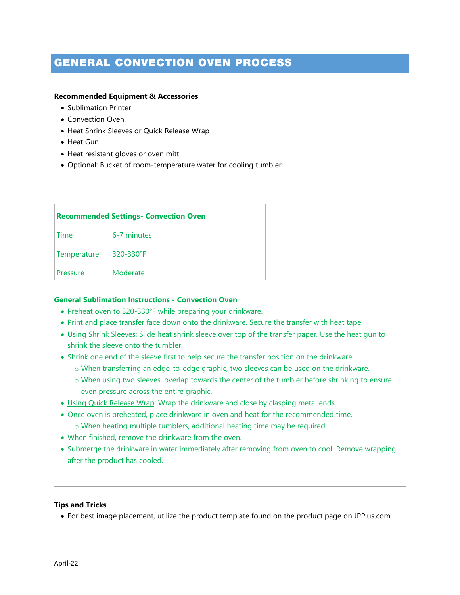## GENERAL CONVECTION OVEN PROCESS

#### **Recommended Equipment & Accessories**

- Sublimation Printer
- Convection Oven
- Heat Shrink Sleeves or Quick Release Wrap
- Heat Gun
- Heat resistant gloves or oven mitt
- Optional: Bucket of room-temperature water for cooling tumbler

| <b>Recommended Settings- Convection Oven</b> |             |  |  |
|----------------------------------------------|-------------|--|--|
| Time                                         | 6-7 minutes |  |  |
| Temperature                                  | 320-330°F   |  |  |
| Pressure                                     | Moderate    |  |  |

### **General Sublimation Instructions - Convection Oven**

- Preheat oven to 320-330°F while preparing your drinkware.
- Print and place transfer face down onto the drinkware. Secure the transfer with heat tape.
- Using Shrink Sleeves: Slide heat shrink sleeve over top of the transfer paper. Use the heat gun to shrink the sleeve onto the tumbler.
- Shrink one end of the sleeve first to help secure the transfer position on the drinkware.
	- o When transferring an edge-to-edge graphic, two sleeves can be used on the drinkware.
	- o When using two sleeves, overlap towards the center of the tumbler before shrinking to ensure even pressure across the entire graphic.
- Using Quick Release Wrap: Wrap the drinkware and close by clasping metal ends.
- Once oven is preheated, place drinkware in oven and heat for the recommended time. o When heating multiple tumblers, additional heating time may be required.
- When finished, remove the drinkware from the oven.
- Submerge the drinkware in water immediately after removing from oven to cool. Remove wrapping after the product has cooled.

#### **Tips and Tricks**

• For best image placement, utilize the product template found on the product page on JPPlus.com.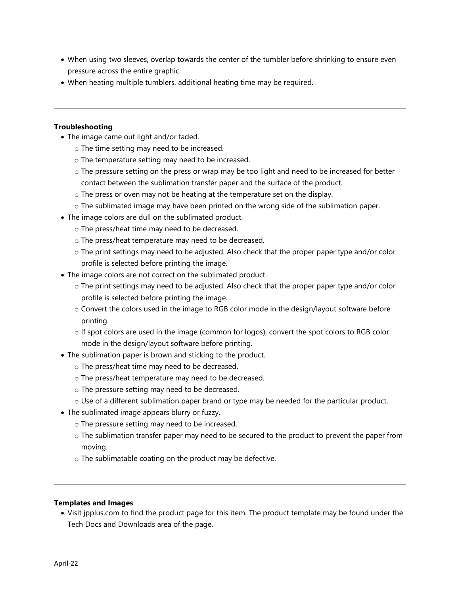- When using two sleeves, overlap towards the center of the tumbler before shrinking to ensure even pressure across the entire graphic.
- When heating multiple tumblers, additional heating time may be required.

### **Troubleshooting**

- The image came out light and/or faded.
	- o The time setting may need to be increased.
	- o The temperature setting may need to be increased.
	- o The pressure setting on the press or wrap may be too light and need to be increased for better contact between the sublimation transfer paper and the surface of the product.
	- o The press or oven may not be heating at the temperature set on the display.
	- o The sublimated image may have been printed on the wrong side of the sublimation paper.
- The image colors are dull on the sublimated product.
	- o The press/heat time may need to be decreased.
	- o The press/heat temperature may need to be decreased.
	- o The print settings may need to be adjusted. Also check that the proper paper type and/or color profile is selected before printing the image.
- The image colors are not correct on the sublimated product.
	- o The print settings may need to be adjusted. Also check that the proper paper type and/or color profile is selected before printing the image.
	- o Convert the colors used in the image to RGB color mode in the design/layout software before printing.
	- o If spot colors are used in the image (common for logos), convert the spot colors to RGB color mode in the design/layout software before printing.
- The sublimation paper is brown and sticking to the product.
	- o The press/heat time may need to be decreased.
	- o The press/heat temperature may need to be decreased.
	- o The pressure setting may need to be decreased.
	- $\circ$  Use of a different sublimation paper brand or type may be needed for the particular product.
- The sublimated image appears blurry or fuzzy.
	- o The pressure setting may need to be increased.
	- $\circ$  The sublimation transfer paper may need to be secured to the product to prevent the paper from moving.
	- o The sublimatable coating on the product may be defective.

### **Templates and Images**

• Visit jpplus.com to find the product page for this item. The product template may be found under the Tech Docs and Downloads area of the page.